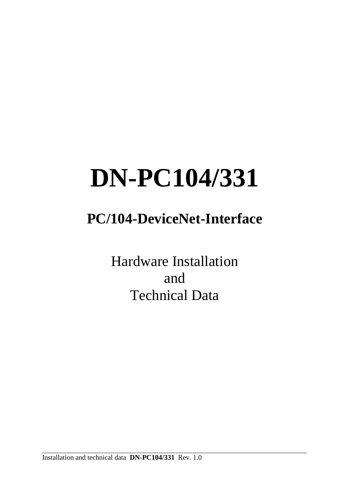# **DN-PC104/331**

## **PC/104-DeviceNet-Interface**

Hardware Installation and Technical Data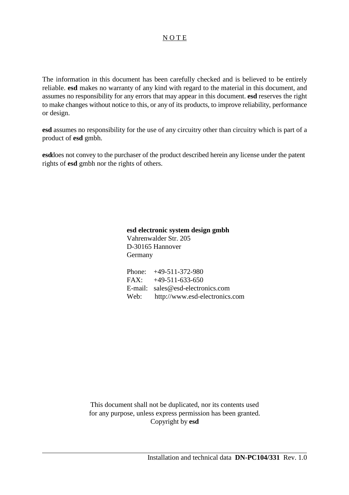### N O T E

The information in this document has been carefully checked and is believed to be entirely reliable. **esd** makes no warranty of any kind with regard to the material in this document, and assumes no responsibility for any errors that may appear in this document. **esd** reserves the right to make changes without notice to this, or any of its products, to improve reliability, performance or design.

**esd** assumes no responsibility for the use of any circuitry other than circuitry which is part of a product of **esd** gmbh.

**esd**does not convey to the purchaser of the product described herein any license under the patent rights of **esd** gmbh nor the rights of others.

> **esd electronic system design gmbh** Vahrenwalder Str. 205 D-30165 Hannover Germany

| Phone: $+49-511-372-980$            |
|-------------------------------------|
| $FAX: +49-511-633-650$              |
| E-mail: $sales@esd-electronics.com$ |
| Web: http://www.esd-electronics.com |

This document shall not be duplicated, nor its contents used for any purpose, unless express permission has been granted. Copyright by **esd**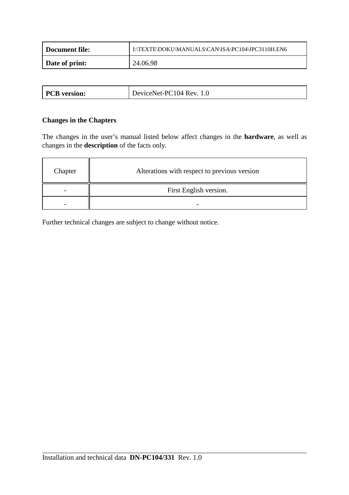| Document file: | I:\TEXTE\DOKU\MANUALS\CAN\ISA\PC104\JPC3110H.EN6 |
|----------------|--------------------------------------------------|
| Date of print: | 24.06.98                                         |

|  |  | <b>PCB</b> version: | DeviceNet-PC104 Rev. 1.0 |
|--|--|---------------------|--------------------------|
|--|--|---------------------|--------------------------|

### **Changes in the Chapters**

The changes in the user's manual listed below affect changes in the **hardware**, as well as changes in the **description** of the facts only.

| Chapter                  | Alterations with respect to previous version |
|--------------------------|----------------------------------------------|
| $\overline{\phantom{0}}$ | First English version.                       |
|                          |                                              |

Further technical changes are subject to change without notice.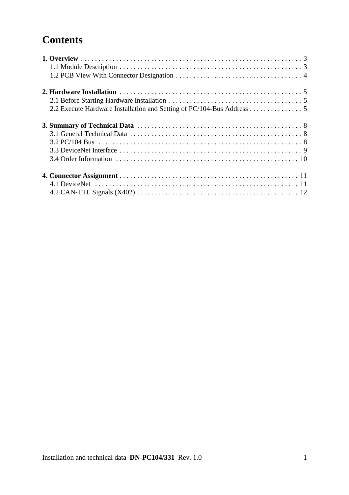### **Contents**

| 2.2 Execute Hardware Installation and Setting of PC/104-Bus Address 5 |  |
|-----------------------------------------------------------------------|--|
|                                                                       |  |
|                                                                       |  |
|                                                                       |  |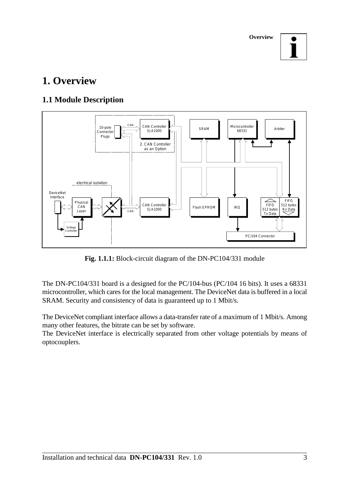**Overview**



### **1. Overview**

### **1.1 Module Description**



**Fig. 1.1.1:** Block-circuit diagram of the DN-PC104/331 module

The DN-PC104/331 board is a designed for the PC/104-bus (PC/104 16 bits). It uses a 68331 microcontroller, which cares for the local management. The DeviceNet data is buffered in a local SRAM. Security and consistency of data is guaranteed up to 1 Mbit/s.

The DeviceNet compliant interface allows a data-transfer rate of a maximum of 1 Mbit/s. Among many other features, the bitrate can be set by software.

The DeviceNet interface is electrically separated from other voltage potentials by means of optocouplers.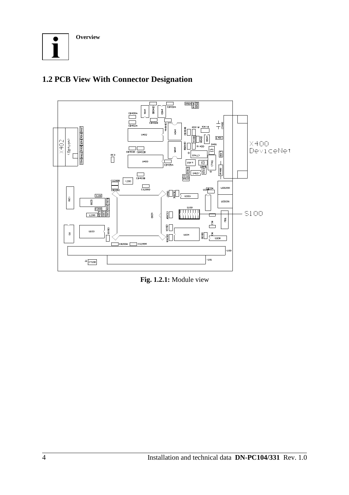

### **1.2 PCB View With Connector Designation**



**Fig. 1.2.1:** Module view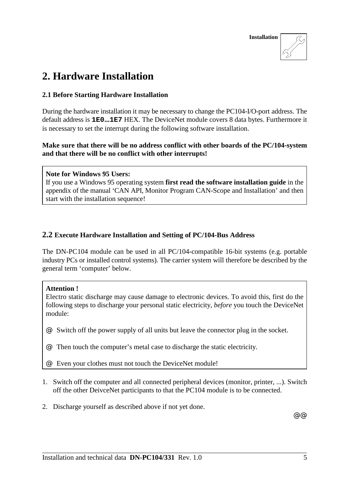

### **2. Hardware Installation**

### **2.1 Before Starting Hardware Installation**

During the hardware installation it may be necessary to change the PC104-I/O-port address. The default address is **1E0...1E7** HEX. The DeviceNet module covers 8 data bytes. Furthermore it is necessary to set the interrupt during the following software installation.

**Make sure that there will be no address conflict with other boards of the PC/104-system and that there will be no conflict with other interrupts!**

#### **Note for Windows 95 Users:**

If you use a Windows 95 operating system **first read the software installation guide** in the appendix of the manual 'CAN API, Monitor Program CAN-Scope and Installation' and then start with the installation sequence!

### **2.2 Execute Hardware Installation and Setting of PC/104-Bus Address**

The DN-PC104 module can be used in all PC/104-compatible 16-bit systems (e.g. portable industry PCs or installed control systems). The carrier system will therefore be described by the general term 'computer' below.

### **Attention !**

Electro static discharge may cause damage to electronic devices. To avoid this, first do the following steps to discharge your personal static electricity, *before* you touch the DeviceNet module:

@ Switch off the power supply of all units but leave the connector plug in the socket.

@ Then touch the computer's metal case to discharge the static electricity.

@ Even your clothes must not touch the DeviceNet module!

- 1. Switch off the computer and all connected peripheral devices (monitor, printer, ...). Switch off the other DeivceNet participants to that the PC104 module is to be connected.
- 2. Discharge yourself as described above if not yet done.

 $@@$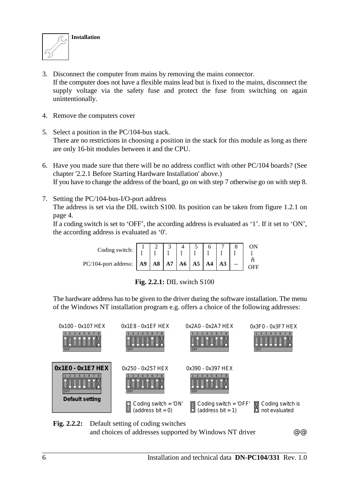

- 3. Disconnect the computer from mains by removing the mains connector. If the computer does not have a flexible mains lead but is fixed to the mains, disconnect the supply voltage via the safety fuse and protect the fuse from switching on again unintentionally.
- 4. Remove the computers cover
- 5. Select a position in the PC/104-bus stack. There are no restrictions in choosing a position in the stack for this module as long as there are only 16-bit modules between it and the CPU.
- 6. Have you made sure that there will be no address conflict with other PC/104 boards? (See chapter '2.2.1 Before Starting Hardware Installation' above.) If you have to change the address of the board, go on with step 7 otherwise go on with step 8.
- 7. Setting the PC/104-bus-I/O-port address The address is set via the DIL switch S100. Its position can be taken from figure 1.2.1 on page 4.

If a coding switch is set to 'OFF', the according address is evaluated as '1'. If it set to 'ON', the according address is evaluated as '0'.

| Coding switch: $\begin{array}{c c} 1 & 1 \\ \hline \end{array}$                                                                                                     | $\frac{1}{n}$ | $^{\prime\prime}$ | $\begin{bmatrix} 4 & 5 \\ 7 & 7 \end{bmatrix}$ | $^{\prime\prime}$ |  |  |
|---------------------------------------------------------------------------------------------------------------------------------------------------------------------|---------------|-------------------|------------------------------------------------|-------------------|--|--|
| PC/104-port address: $\begin{bmatrix} A9 \end{bmatrix} A8 \begin{bmatrix} A7 \end{bmatrix} A6 \begin{bmatrix} A5 \end{bmatrix} A4 \begin{bmatrix} A3 \end{bmatrix}$ |               |                   |                                                |                   |  |  |

|  |  |  |  | <b>Fig. 2.2.1:</b> DIL switch S100 |  |
|--|--|--|--|------------------------------------|--|
|--|--|--|--|------------------------------------|--|

The hardware address has to be given to the driver during the software installation. The menu of the Windows NT installation program e.g. offers a choice of the following addresses:



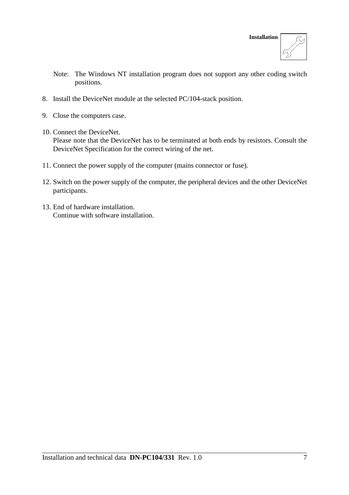

- Note: The Windows NT installation program does not support any other coding switch positions.
- 8. Install the DeviceNet module at the selected PC/104-stack position.
- 9. Close the computers case.
- 10. Connect the DeviceNet. Please note that the DeviceNet has to be terminated at both ends by resistors. Consult the DeviceNet Specification for the correct wiring of the net.
- 11. Connect the power supply of the computer (mains connector or fuse).
- 12. Switch on the power supply of the computer, the peripheral devices and the other DeviceNet participants.
- 13. End of hardware installation. Continue with software installation.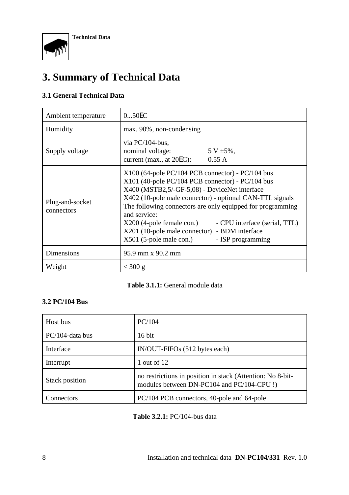

### **3. Summary of Technical Data**

### **3.1 General Technical Data**

| Ambient temperature           | 050EC                                                                                                                                                                                                                                                                                                                                                                                                                                                              |
|-------------------------------|--------------------------------------------------------------------------------------------------------------------------------------------------------------------------------------------------------------------------------------------------------------------------------------------------------------------------------------------------------------------------------------------------------------------------------------------------------------------|
| Humidity                      | max. 90%, non-condensing                                                                                                                                                                                                                                                                                                                                                                                                                                           |
| Supply voltage                | via $PC/104$ -bus,<br>nominal voltage:<br>$5 V \pm 5\%$ ,<br>current (max., at $20EC$ ):<br>0.55 A                                                                                                                                                                                                                                                                                                                                                                 |
| Plug-and-socket<br>connectors | $X100$ (64-pole PC/104 PCB connector) - PC/104 bus<br>X101 (40-pole PC/104 PCB connector) - PC/104 bus<br>X400 (MSTB2,5/-GF-5,08) - DeviceNet interface<br>X402 (10-pole male connector) - optional CAN-TTL signals<br>The following connectors are only equipped for programming<br>and service:<br>$X200$ (4-pole female con.)<br>- CPU interface (serial, TTL)<br>X201 (10-pole male connector) - BDM interface<br>X501 (5-pole male con.)<br>- ISP programming |
| Dimensions                    | 95.9 mm x 90.2 mm                                                                                                                                                                                                                                                                                                                                                                                                                                                  |
| Weight                        | $<$ 300 g                                                                                                                                                                                                                                                                                                                                                                                                                                                          |

### **Table 3.1.1:** General module data

### **3.2 PC/104 Bus**

| Host bus              | PC/104                                                                                                   |
|-----------------------|----------------------------------------------------------------------------------------------------------|
| PC/104-data bus       | $16$ bit                                                                                                 |
| Interface             | IN/OUT-FIFOs (512 bytes each)                                                                            |
| Interrupt             | 1 out of $12$                                                                                            |
| <b>Stack position</b> | no restrictions in position in stack (Attention: No 8-bit-<br>modules between DN-PC104 and PC/104-CPU !) |
| Connectors            | PC/104 PCB connectors, 40-pole and 64-pole                                                               |

**Table 3.2.1:** PC/104-bus data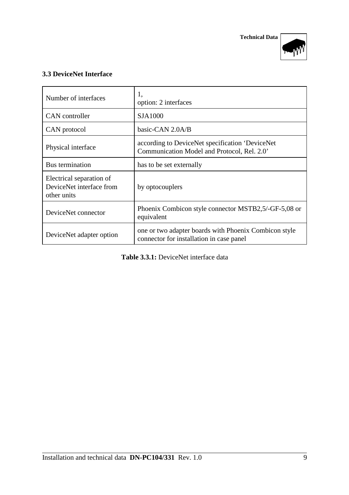



### **3.3 DeviceNet Interface**

| Number of interfaces                                                | 1,<br>option: 2 interfaces                                                                        |
|---------------------------------------------------------------------|---------------------------------------------------------------------------------------------------|
| CAN controller                                                      | SJA1000                                                                                           |
| CAN protocol                                                        | basic-CAN 2.0A/B                                                                                  |
| Physical interface                                                  | according to DeviceNet specification 'DeviceNet<br>Communication Model and Protocol, Rel. 2.0'    |
| Bus termination                                                     | has to be set externally                                                                          |
| Electrical separation of<br>DeviceNet interface from<br>other units | by optocouplers                                                                                   |
| DeviceNet connector                                                 | Phoenix Combicon style connector MSTB2,5/-GF-5,08 or<br>equivalent                                |
| DeviceNet adapter option                                            | one or two adapter boards with Phoenix Combicon style<br>connector for installation in case panel |

**Table 3.3.1:** DeviceNet interface data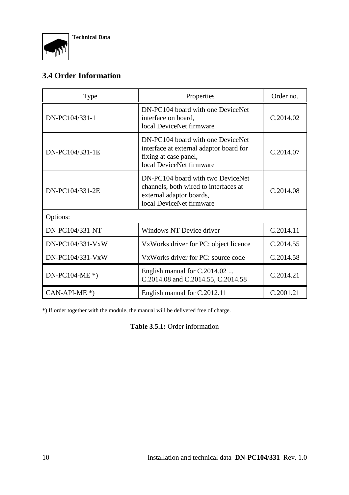### **3.4 Order Information**

| <b>Type</b>                   | Properties                                                                                                                         | Order no. |
|-------------------------------|------------------------------------------------------------------------------------------------------------------------------------|-----------|
| DN-PC104/331-1                | DN-PC104 board with one DeviceNet<br>interface on board,<br>local DeviceNet firmware                                               | C.2014.02 |
| DN-PC104/331-1E               | DN-PC104 board with one DeviceNet<br>interface at external adaptor board for<br>fixing at case panel,<br>local DeviceNet firmware  | C.2014.07 |
| DN-PC104/331-2E               | DN-PC104 board with two DeviceNet<br>channels, both wired to interfaces at<br>external adaptor boards,<br>local DeviceNet firmware | C.2014.08 |
| Options:                      |                                                                                                                                    |           |
| DN-PC104/331-NT               | Windows NT Device driver                                                                                                           | C.2014.11 |
| DN-PC104/331-VxW              | VxWorks driver for PC: object licence                                                                                              | C.2014.55 |
| DN-PC104/331-VxW              | VxWorks driver for PC: source code                                                                                                 | C.2014.58 |
| $DN\text{-}PC104\text{-}ME*)$ | English manual for C.2014.02<br>C.2014.08 and C.2014.55, C.2014.58                                                                 | C.2014.21 |
| $CAN-API-ME^*)$               | English manual for C.2012.11                                                                                                       | C.2001.21 |

\*) If order together with the module, the manual will be delivered free of charge.

**Table 3.5.1:** Order information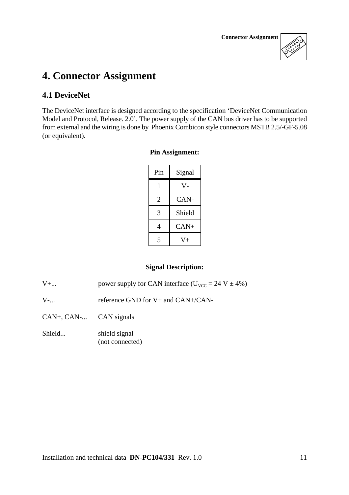

### **4. Connector Assignment**

### **4.1 DeviceNet**

The DeviceNet interface is designed according to the specification 'DeviceNet Communication Model and Protocol, Release. 2.0'. The power supply of the CAN bus driver has to be supported from external and the wiring is done by Phoenix Combicon style connectors MSTB 2.5/-GF-5.08 (or equivalent).

#### **Pin Assignment:**

| Pin | Signal |
|-----|--------|
|     | v.     |
| 2   | CAN-   |
| 3   | Shield |
| 4   | $CAN+$ |
|     | $+$    |

### **Signal Description:**

V+... power supply for CAN interface  $(U_{\text{VCC}} = 24 \text{ V} \pm 4\%)$ 

V-... reference GND for V+ and CAN+/CAN-

CAN+, CAN-... CAN signals

Shield... shield signal (not connected)